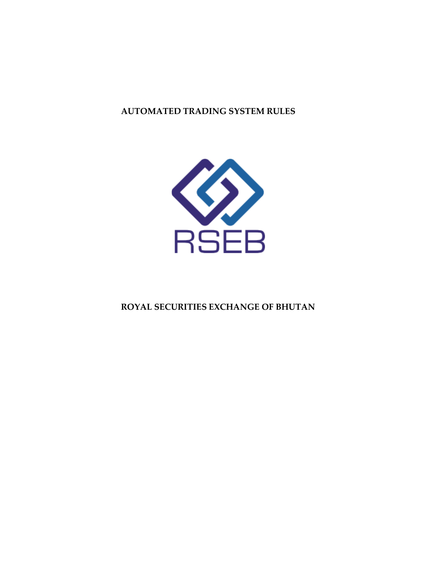# **AUTOMATED TRADING SYSTEM RULES**



# **ROYAL SECURITIES EXCHANGE OF BHUTAN**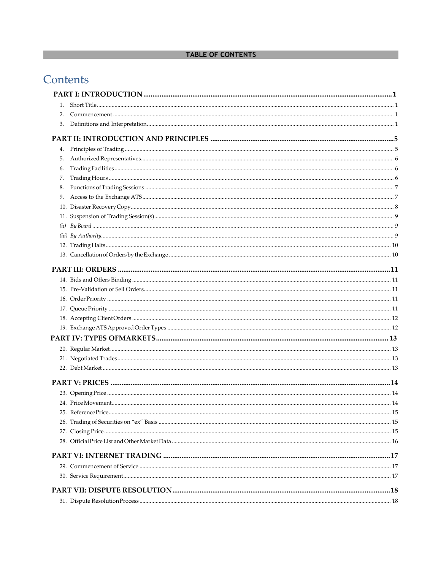## **TABLE OF CONTENTS**

# Contents

| 2. |  |
|----|--|
| 3. |  |
|    |  |
|    |  |
| 5. |  |
| 6. |  |
| 7. |  |
| 8. |  |
| 9. |  |
|    |  |
|    |  |
|    |  |
|    |  |
|    |  |
|    |  |
|    |  |
|    |  |
|    |  |
|    |  |
|    |  |
|    |  |
|    |  |
|    |  |
|    |  |
|    |  |
|    |  |
|    |  |
|    |  |
|    |  |
|    |  |
|    |  |
|    |  |
|    |  |
|    |  |
|    |  |
|    |  |
|    |  |
|    |  |
|    |  |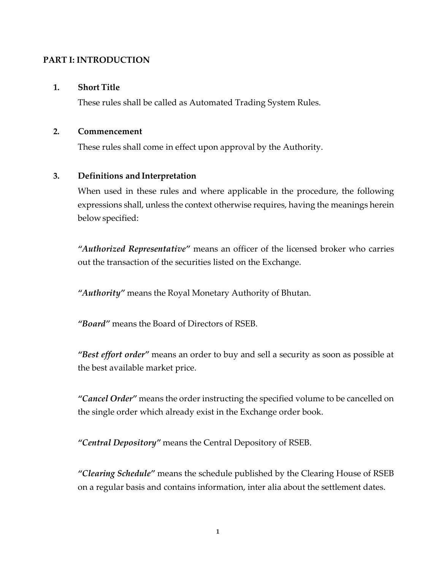## <span id="page-3-0"></span>**PART I: INTRODUCTION**

#### <span id="page-3-1"></span>**1. Short Title**

These rules shall be called as Automated Trading System Rules.

#### <span id="page-3-2"></span>**2. Commencement**

These rules shall come in effect upon approval by the Authority.

## <span id="page-3-3"></span>**3. Definitions and Interpretation**

When used in these rules and where applicable in the procedure, the following expressions shall, unless the context otherwise requires, having the meanings herein below specified:

*"Authorized Representative"* means an officer of the licensed broker who carries out the transaction of the securities listed on the Exchange.

*"Authority"* means the Royal Monetary Authority of Bhutan.

*"Board"* means the Board of Directors of RSEB.

*"Best effort order"* means an order to buy and sell a security as soon as possible at the best available market price.

*"Cancel Order"* means the order instructing the specified volume to be cancelled on the single order which already exist in the Exchange order book.

*"Central Depository"* means the Central Depository of RSEB.

*"Clearing Schedule"* means the schedule published by the Clearing House of RSEB on a regular basis and contains information, inter alia about the settlement dates.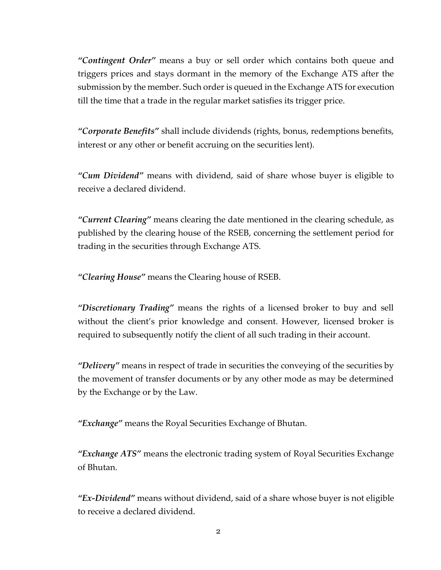*"Contingent Order"* means a buy or sell order which contains both queue and triggers prices and stays dormant in the memory of the Exchange ATS after the submission by the member. Such order is queued in the Exchange ATS for execution till the time that a trade in the regular market satisfies its trigger price.

*"Corporate Benefits"* shall include dividends (rights, bonus, redemptions benefits, interest or any other or benefit accruing on the securities lent).

*"Cum Dividend"* means with dividend, said of share whose buyer is eligible to receive a declared dividend.

*"Current Clearing"* means clearing the date mentioned in the clearing schedule, as published by the clearing house of the RSEB, concerning the settlement period for trading in the securities through Exchange ATS.

*"Clearing House"* means the Clearing house of RSEB.

*"Discretionary Trading"* means the rights of a licensed broker to buy and sell without the client's prior knowledge and consent. However, licensed broker is required to subsequently notify the client of all such trading in their account.

*"Delivery"* means in respect of trade in securities the conveying of the securities by the movement of transfer documents or by any other mode as may be determined by the Exchange or by the Law.

*"Exchange"* means the Royal Securities Exchange of Bhutan.

*"Exchange ATS"* means the electronic trading system of Royal Securities Exchange of Bhutan.

*"Ex-Dividend"* means without dividend, said of a share whose buyer is not eligible to receive a declared dividend.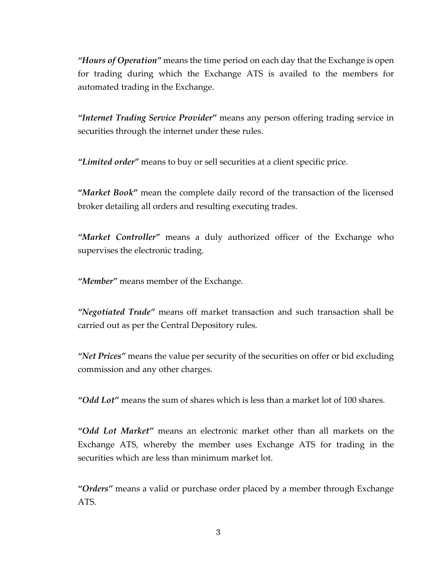*"Hours of Operation"* means the time period on each day that the Exchange is open for trading during which the Exchange ATS is availed to the members for automated trading in the Exchange.

*"Internet Trading Service Provider"* means any person offering trading service in securities through the internet under these rules.

*"Limited order"* means to buy or sell securities at a client specific price.

**"***Market Book***"** mean the complete daily record of the transaction of the licensed broker detailing all orders and resulting executing trades.

*"Market Controller"* means a duly authorized officer of the Exchange who supervises the electronic trading.

*"Member"* means member of the Exchange.

*"Negotiated Trade"* means off market transaction and such transaction shall be carried out as per the Central Depository rules.

*"Net Prices"* means the value per security of the securities on offer or bid excluding commission and any other charges.

*"Odd Lot"* means the sum of shares which is less than a market lot of 100 shares.

*"Odd Lot Market"* means an electronic market other than all markets on the Exchange ATS, whereby the member uses Exchange ATS for trading in the securities which are less than minimum market lot.

*"Orders"* means a valid or purchase order placed by a member through Exchange ATS.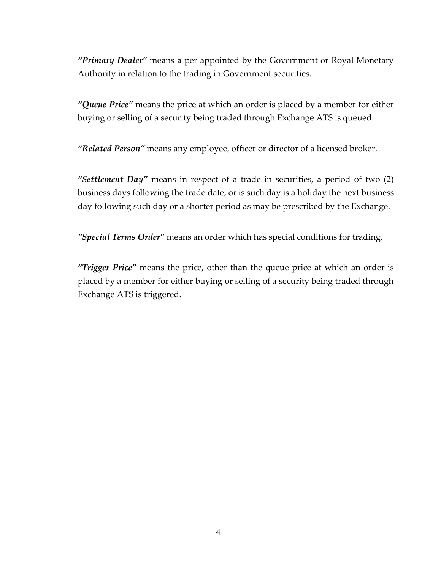*"Primary Dealer"* means a per appointed by the Government or Royal Monetary Authority in relation to the trading in Government securities.

*"Queue Price"* means the price at which an order is placed by a member for either buying or selling of a security being traded through Exchange ATS is queued.

*"Related Person"* means any employee, officer or director of a licensed broker.

*"Settlement Day"* means in respect of a trade in securities, a period of two (2) business days following the trade date, or is such day is a holiday the next business day following such day or a shorter period as may be prescribed by the Exchange.

*"Special Terms Order"* means an order which has special conditions for trading.

*"Trigger Price"* means the price, other than the queue price at which an order is placed by a member for either buying or selling of a security being traded through Exchange ATS is triggered.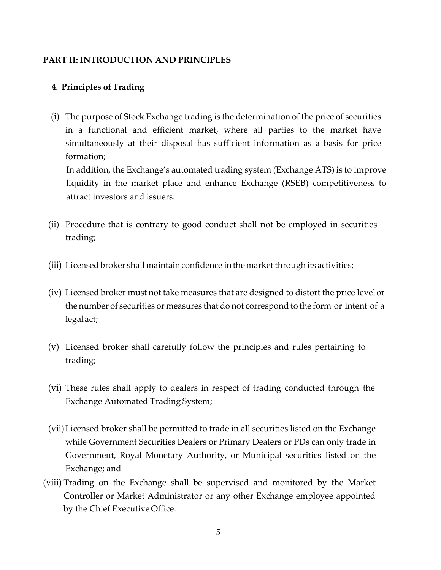#### <span id="page-7-0"></span>**PART II: INTRODUCTION AND PRINCIPLES**

#### <span id="page-7-1"></span>**4. Principles ofTrading**

(i) The purpose of Stock Exchange trading is the determination of the price of securities in a functional and efficient market, where all parties to the market have simultaneously at their disposal has sufficient information as a basis for price formation;

In addition, the Exchange's automated trading system (Exchange ATS) is to improve liquidity in the market place and enhance Exchange (RSEB) competitiveness to attract investors and issuers.

- (ii) Procedure that is contrary to good conduct shall not be employed in securities trading;
- (iii) Licensed broker shall maintain confidence in the market through its activities;
- (iv) Licensed broker must not take measures that are designed to distort the price levelor the number of securities or measures that do not correspond to the form or intent of a legalact;
- (v) Licensed broker shall carefully follow the principles and rules pertaining to trading;
- (vi) These rules shall apply to dealers in respect of trading conducted through the Exchange Automated Trading System;
- (vii)Licensed broker shall be permitted to trade in all securities listed on the Exchange while Government Securities Dealers or Primary Dealers or PDs can only trade in Government, Royal Monetary Authority, or Municipal securities listed on the Exchange; and
- (viii) Trading on the Exchange shall be supervised and monitored by the Market Controller or Market Administrator or any other Exchange employee appointed by the Chief Executive Office.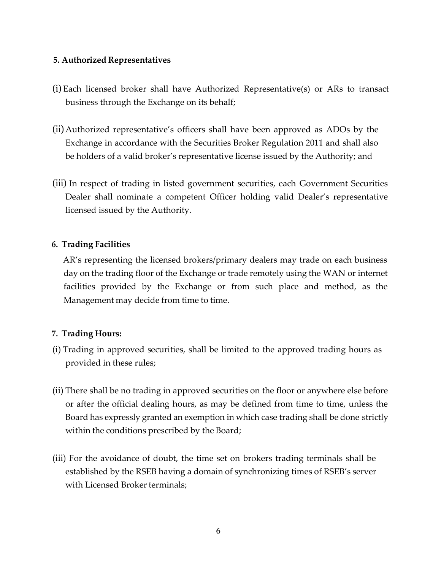#### <span id="page-8-0"></span>**5. Authorized Representatives**

- (i) Each licensed broker shall have Authorized Representative(s) or ARs to transact business through the Exchange on its behalf;
- (ii) Authorized representative's officers shall have been approved as ADOs by the Exchange in accordance with the Securities Broker Regulation 2011 and shall also be holders of a valid broker's representative license issued by the Authority; and
- (iii) In respect of trading in listed government securities, each Government Securities Dealer shall nominate a competent Officer holding valid Dealer's representative licensed issued by the Authority.

## <span id="page-8-1"></span>**6. Trading Facilities**

AR's representing the licensed brokers/primary dealers may trade on each business day on the trading floor of the Exchange or trade remotely using the WAN or internet facilities provided by the Exchange or from such place and method, as the Management may decide from time to time.

# <span id="page-8-2"></span>**7. Trading Hours:**

- (i) Trading in approved securities, shall be limited to the approved trading hours as provided in these rules;
- (ii) There shall be no trading in approved securities on the floor or anywhere else before or after the official dealing hours, as may be defined from time to time, unless the Board has expressly granted an exemption in which case trading shall be done strictly within the conditions prescribed by the Board;
- (iii) For the avoidance of doubt, the time set on brokers trading terminals shall be established by the RSEB having a domain of synchronizing times of RSEB's server with Licensed Broker terminals;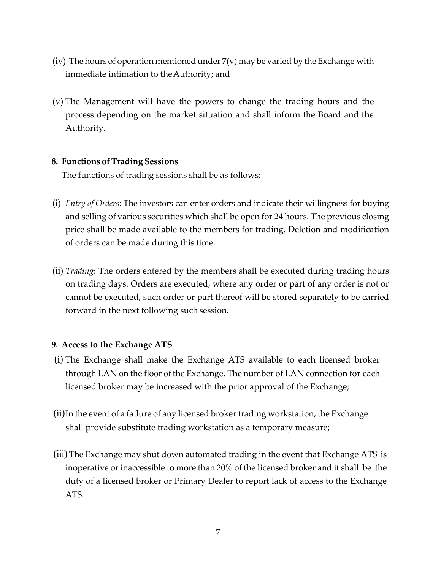- (iv) The hours of operation mentioned under  $7(v)$  may be varied by the Exchange with immediate intimation to theAuthority; and
- (v) The Management will have the powers to change the trading hours and the process depending on the market situation and shall inform the Board and the Authority.

#### <span id="page-9-0"></span>**8. Functions ofTrading Sessions**

The functions of trading sessions shall be as follows:

- (i) *Entry of Orders*: The investors can enter orders and indicate their willingness for buying and selling of various securities which shall be open for 24 hours. The previous closing price shall be made available to the members for trading. Deletion and modification of orders can be made during this time.
- (ii) *Trading*: The orders entered by the members shall be executed during trading hours on trading days. Orders are executed, where any order or part of any order is not or cannot be executed, such order or part thereof will be stored separately to be carried forward in the next following such session.

#### <span id="page-9-1"></span>**9. Access to the Exchange ATS**

- (i) The Exchange shall make the Exchange ATS available to each licensed broker through LAN on the floor of the Exchange. The number of LAN connection for each licensed broker may be increased with the prior approval of the Exchange;
- (ii)In the event of a failure of any licensed broker trading workstation, the Exchange shall provide substitute trading workstation as a temporary measure;
- (iii) The Exchange may shut down automated trading in the event that Exchange ATS is inoperative or inaccessible to more than 20% of the licensed broker and it shall be the duty of a licensed broker or Primary Dealer to report lack of access to the Exchange ATS.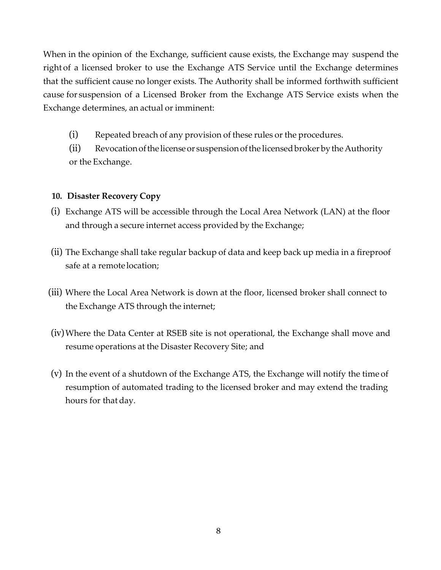When in the opinion of the Exchange, sufficient cause exists, the Exchange may suspend the right of a licensed broker to use the Exchange ATS Service until the Exchange determines that the sufficient cause no longer exists. The Authority shall be informed forthwith sufficient cause for suspension of a Licensed Broker from the Exchange ATS Service exists when the Exchange determines, an actual or imminent:

(i) Repeated breach of any provision of these rules or the procedures.

(ii) Revocationofthe licenseor suspensionofthe licensedbroker bytheAuthority or the Exchange.

# <span id="page-10-0"></span>**10. Disaster Recovery Copy**

- (i) Exchange ATS will be accessible through the Local Area Network (LAN) at the floor and through a secure internet access provided by the Exchange;
- (ii) The Exchange shall take regular backup of data and keep back up media in a fireproof safe at a remote location;
- (iii) Where the Local Area Network is down at the floor, licensed broker shall connect to the Exchange ATS through the internet;
- (iv)Where the Data Center at RSEB site is not operational, the Exchange shall move and resume operations at the Disaster Recovery Site; and
- (v) In the event of a shutdown of the Exchange ATS, the Exchange will notify the time of resumption of automated trading to the licensed broker and may extend the trading hours for that day.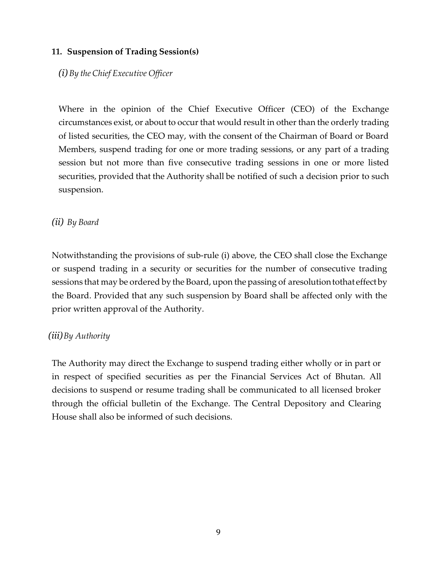## <span id="page-11-0"></span>**11. Suspension of Trading Session(s)**

*(i) By the Chief Executive Officer*

Where in the opinion of the Chief Executive Officer (CEO) of the Exchange circumstances exist, or about to occur that would result in other than the orderly trading of listed securities, the CEO may, with the consent of the Chairman of Board or Board Members, suspend trading for one or more trading sessions, or any part of a trading session but not more than five consecutive trading sessions in one or more listed securities, provided that the Authority shall be notified of such a decision prior to such suspension.

# <span id="page-11-1"></span>*(ii) By Board*

Notwithstanding the provisions of sub-rule (i) above, the CEO shall close the Exchange or suspend trading in a security or securities for the number of consecutive trading sessions that may be ordered by the Board, upon the passing of aresolution tothat effect by the Board. Provided that any such suspension by Board shall be affected only with the prior written approval of the Authority.

# <span id="page-11-2"></span>*(iii)By Authority*

The Authority may direct the Exchange to suspend trading either wholly or in part or in respect of specified securities as per the Financial Services Act of Bhutan. All decisions to suspend or resume trading shall be communicated to all licensed broker through the official bulletin of the Exchange. The Central Depository and Clearing House shall also be informed of such decisions.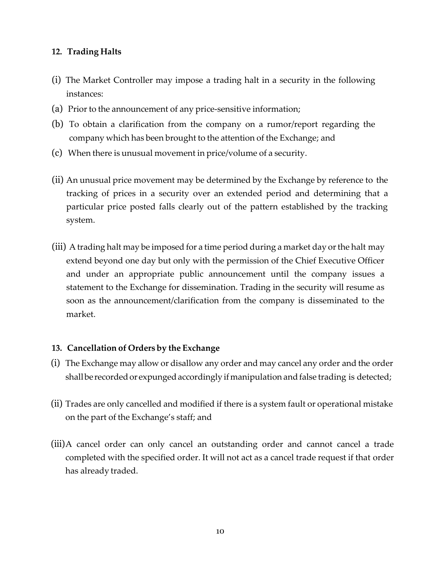# <span id="page-12-0"></span>**12. Trading Halts**

- (i) The Market Controller may impose a trading halt in a security in the following instances:
- (a) Prior to the announcement of any price-sensitive information;
- (b) To obtain a clarification from the company on a rumor/report regarding the company which has been brought to the attention of the Exchange; and
- (c) When there is unusual movement in price/volume of a security.
- (ii) An unusual price movement may be determined by the Exchange by reference to the tracking of prices in a security over an extended period and determining that a particular price posted falls clearly out of the pattern established by the tracking system.
- (iii) A trading halt may be imposed for a time period during a market day or the halt may extend beyond one day but only with the permission of the Chief Executive Officer and under an appropriate public announcement until the company issues a statement to the Exchange for dissemination. Trading in the security will resume as soon as the announcement/clarification from the company is disseminated to the market.

#### <span id="page-12-1"></span>**13. Cancellation of Orders by the Exchange**

- (i) The Exchange may allow or disallow any order and may cancel any order and the order shall be recorded or expunged accordingly if manipulation and false trading is detected;
- (ii) Trades are only cancelled and modified if there is a system fault or operational mistake on the part of the Exchange's staff; and
- (iii)A cancel order can only cancel an outstanding order and cannot cancel a trade completed with the specified order. It will not act as a cancel trade request if that order has already traded.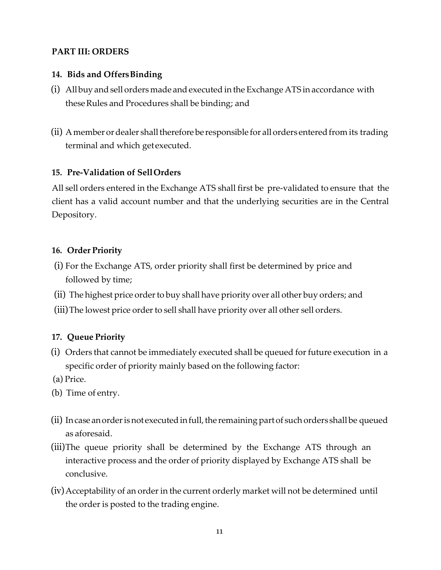# <span id="page-13-0"></span>**PART III: ORDERS**

#### <span id="page-13-1"></span>**14. Bids and OffersBinding**

- (i) Allbuy and sell orders made and executed in the Exchange ATS in accordance with theseRules and Procedures shall be binding; and
- $(i)$  A member or dealer shall therefore be responsible for all orders entered from its trading terminal and which getexecuted.

#### <span id="page-13-2"></span>**15. Pre-Validation of SellOrders**

All sell orders entered in the Exchange ATS shall first be pre-validated to ensure that the client has a valid account number and that the underlying securities are in the Central Depository.

#### <span id="page-13-3"></span>**16. Order Priority**

- (i) For the Exchange ATS, order priority shall first be determined by price and followed by time;
- (ii) The highest price order to buy shall have priority over all other buy orders; and
- (iii) The lowest price order to sell shall have priority over all other sell orders.

#### <span id="page-13-4"></span>**17. Queue Priority**

- (i) Orders that cannot be immediately executed shall be queued for future execution in a specific order of priority mainly based on the following factor:
- (a) Price.
- (b) Time of entry.
- (ii) In case an order is not executed in full, the remaining part of such orders shall be queued as aforesaid.
- (iii)The queue priority shall be determined by the Exchange ATS through an interactive process and the order of priority displayed by Exchange ATS shall be conclusive.
- (iv) Acceptability of an order in the current orderly market will not be determined until the order is posted to the trading engine.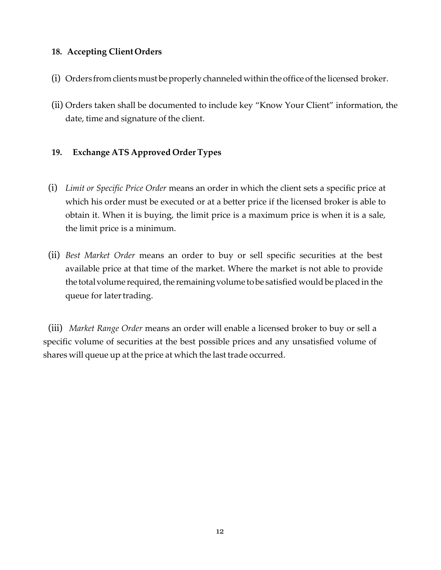# <span id="page-14-0"></span>**18. Accepting Client Orders**

- (i) Orders from clients must be properly channeled within the office of the licensed broker.
- (ii) Orders taken shall be documented to include key "Know Your Client" information, the date, time and signature of the client.

## <span id="page-14-1"></span>**19. Exchange ATS Approved Order Types**

- (i) *Limit or Specific Price Order* means an order in which the client sets a specific price at which his order must be executed or at a better price if the licensed broker is able to obtain it. When it is buying, the limit price is a maximum price is when it is a sale, the limit price is a minimum.
- (ii) *Best Market Order* means an order to buy or sell specific securities at the best available price at that time of the market. Where the market is not able to provide the total volume required, the remaining volume to be satisfied would be placed in the queue for later trading.

(iii) *Market Range Order* means an order will enable a licensed broker to buy or sell a specific volume of securities at the best possible prices and any unsatisfied volume of shares will queue up at the price at which the last trade occurred.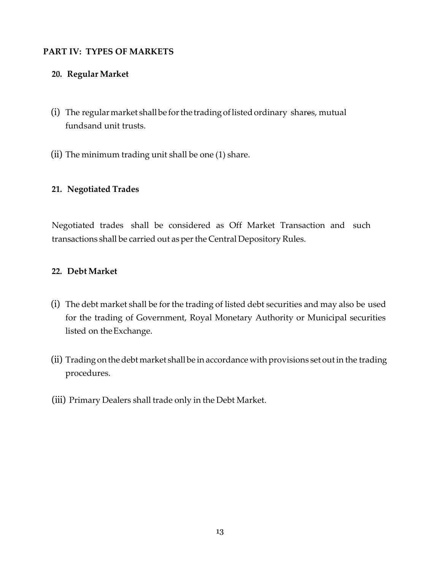## <span id="page-15-0"></span>**PART IV: TYPES OF MARKETS**

## <span id="page-15-1"></span>**20. Regular Market**

- (i) The regularmarket shallbe forthe trading oflistedordinary shares, mutual fundsand unit trusts.
- (ii) The minimum trading unit shall be one (1) share.

#### <span id="page-15-2"></span>**21. Negotiated Trades**

Negotiated trades shall be considered as Off Market Transaction and such transactions shall be carried out as per the Central Depository Rules.

#### <span id="page-15-3"></span>**22. Debt Market**

- (i) The debt market shall be forthe trading of listed debt securities and may also be used for the trading of Government, Royal Monetary Authority or Municipal securities listed on theExchange.
- (ii) Trading on the debt market shall be in accordance with provisions set out in the trading procedures.
- (iii) Primary Dealers shall trade only in the Debt Market.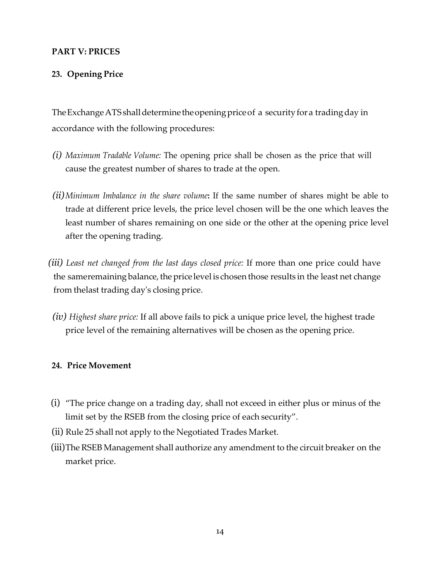#### <span id="page-16-0"></span>**PART V: PRICES**

# <span id="page-16-1"></span>**23. Opening Price**

The Exchange ATS shall determine the opening price of a security for a trading day in accordance with the following procedures:

- *(i) Maximum Tradable Volume:* The opening price shall be chosen as the price that will cause the greatest number of shares to trade at the open.
- *(ii)Minimum Imbalance in the share volume***:** If the same number of shares might be able to trade at different price levels, the price level chosen will be the one which leaves the least number of shares remaining on one side or the other at the opening price level after the opening trading.
- *(iii) Least net changed from the last days closed price:* If more than one price could have the sameremaining balance, the price level is chosen those results in the least net change from thelast trading day's closing price.
- *(iv) Highest share price:* If all above fails to pick a unique price level, the highest trade price level of the remaining alternatives will be chosen as the opening price.

#### <span id="page-16-2"></span>**24. Price Movement**

- (i) "The price change on a trading day, shall not exceed in either plus or minus of the limit set by the RSEB from the closing price of each security".
- (ii) Rule 25 shall not apply to the Negotiated Trades Market.
- (iii)The RSEB Management shall authorize any amendment to the circuit breaker on the market price.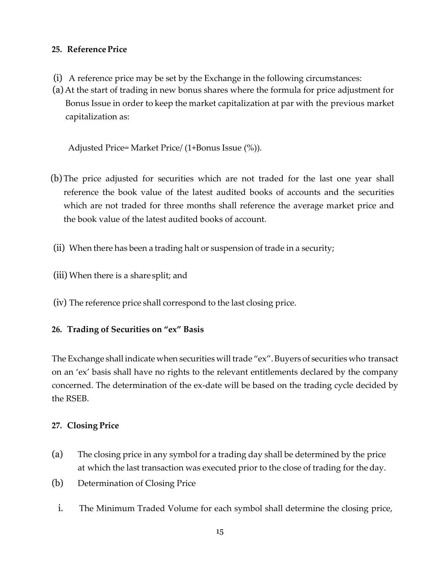# <span id="page-17-0"></span>**25. ReferencePrice**

- (i) A reference price may be set by the Exchange in the following circumstances:
- (a)At the start of trading in new bonus shares where the formula for price adjustment for Bonus Issue in order to keep the market capitalization at par with the previous market capitalization as:

Adjusted Price= Market Price/ (1+Bonus Issue (%)).

- (b) The price adjusted for securities which are not traded for the last one year shall reference the book value of the latest audited books of accounts and the securities which are not traded for three months shall reference the average market price and the book value of the latest audited books of account.
- (ii) When there has been a trading halt or suspension of trade in a security;
- (iii) When there is a share split; and
- (iv) The reference price shall correspond to the last closing price.

#### <span id="page-17-1"></span>**26. Trading of Securities on "ex" Basis**

The Exchange shall indicate when securities will trade "ex".Buyers of securities who transact on an 'ex' basis shall have no rights to the relevant entitlements declared by the company concerned. The determination of the ex-date will be based on the trading cycle decided by the RSEB.

#### <span id="page-17-2"></span>**27. Closing Price**

- (a) The closing price in any symbol for a trading day shall be determined by the price at which the last transaction was executed prior to the close of trading for theday.
- (b) Determination of Closing Price
	- i. The Minimum Traded Volume for each symbol shall determine the closing price,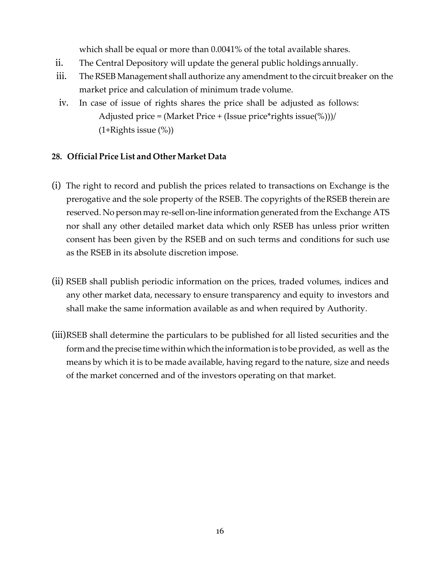which shall be equal or more than 0.0041% of the total available shares.

- ii. The Central Depository will update the general public holdings annually.
- iii. The RSEB Management shall authorize any amendment to the circuit breaker on the market price and calculation of minimum trade volume.
- iv. In case of issue of rights shares the price shall be adjusted as follows: Adjusted price = (Market Price + (Issue price\*rights issue(%)))/  $(1+Rights$  issue  $(\%)$

# <span id="page-18-0"></span>**28. Official Price List and Other Market Data**

- (i) The right to record and publish the prices related to transactions on Exchange is the prerogative and the sole property of the RSEB. The copyrights of theRSEB therein are reserved. No person may re-sell on-line information generated from the Exchange ATS nor shall any other detailed market data which only RSEB has unless prior written consent has been given by the RSEB and on such terms and conditions for such use as the RSEB in its absolute discretion impose.
- (ii) RSEB shall publish periodic information on the prices, traded volumes, indices and any other market data, necessary to ensure transparency and equity to investors and shall make the same information available as and when required by Authority.
- (iii)RSEB shall determine the particulars to be published for all listed securities and the form and the precise time within which the information is to be provided, as well as the means by which it is to be made available, having regard to the nature, size and needs of the market concerned and of the investors operating on that market.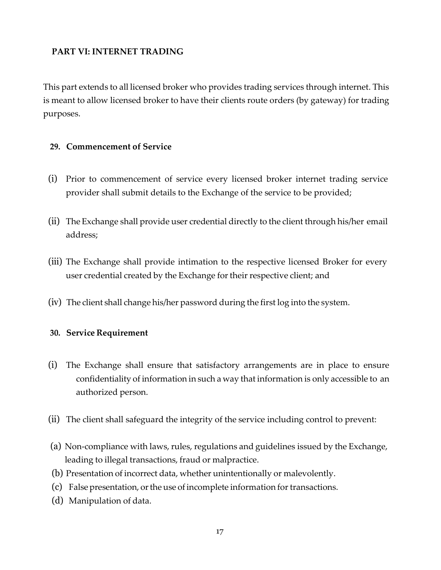# <span id="page-19-0"></span>**PART VI: INTERNET TRADING**

This part extends to all licensed broker who provides trading services through internet. This is meant to allow licensed broker to have their clients route orders (by gateway) for trading purposes.

#### <span id="page-19-1"></span>**29. Commencement of Service**

- (i) Prior to commencement of service every licensed broker internet trading service provider shall submit details to the Exchange of the service to be provided;
- (ii) The Exchange shall provide user credential directly to the client through his/her email address;
- (iii) The Exchange shall provide intimation to the respective licensed Broker for every user credential created by the Exchange for their respective client; and
- (iv) The client shall change his/her password during the first log into the system.

#### <span id="page-19-2"></span>**30. Service Requirement**

- (i) The Exchange shall ensure that satisfactory arrangements are in place to ensure confidentiality of information in such a way that information is only accessible to an authorized person.
- (ii) The client shall safeguard the integrity of the service including control to prevent:
- (a) Non-compliance with laws, rules, regulations and guidelines issued by the Exchange, leading to illegal transactions, fraud or malpractice.
- (b) Presentation of incorrect data, whether unintentionally or malevolently.
- (c) False presentation, or the use of incomplete information for transactions.
- (d) Manipulation of data.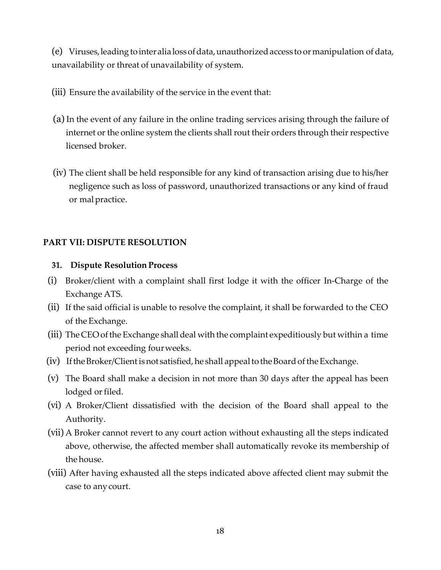(e) Viruses,leading tointeralia lossofdata,unauthorizedaccess to ormanipulation of data, unavailability or threat of unavailability of system.

(iii) Ensure the availability of the service in the event that:

- (a)In the event of any failure in the online trading services arising through the failure of internet or the online system the clients shall rout their orders through their respective licensed broker.
- (iv) The client shall be held responsible for any kind of transaction arising due to his/her negligence such as loss of password, unauthorized transactions or any kind of fraud or malpractice.

#### <span id="page-20-0"></span>**PART VII: DISPUTE RESOLUTION**

#### <span id="page-20-1"></span>**31. Dispute Resolution Process**

- (i) Broker/client with a complaint shall first lodge it with the officer In-Charge of the Exchange ATS.
- (ii) If the said official is unable to resolve the complaint, it shall be forwarded to the CEO of the Exchange.
- (iii) The CEOofthe Exchange shall deal with the complaint expeditiously but within a time period not exceeding fourweeks.
- (iv) IftheBroker/Clientisnot satisfied, he shall appealto theBoardoftheExchange.
- (v) The Board shall make a decision in not more than 30 days after the appeal has been lodged or filed.
- (vi) A Broker/Client dissatisfied with the decision of the Board shall appeal to the Authority.
- (vii) A Broker cannot revert to any court action without exhausting all the steps indicated above, otherwise, the affected member shall automatically revoke its membership of the house.
- (viii) After having exhausted all the steps indicated above affected client may submit the case to anycourt.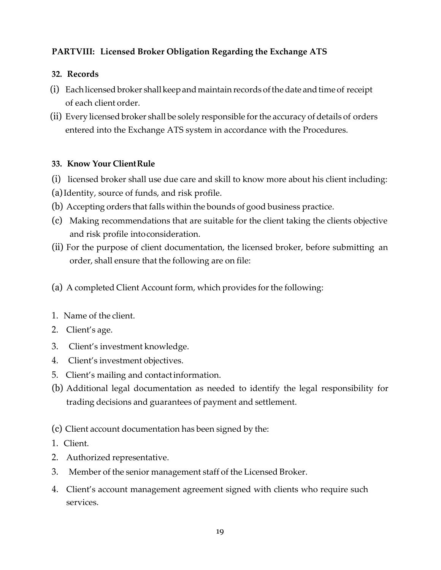# <span id="page-21-0"></span>**PARTVIII: Licensed Broker Obligation Regarding the Exchange ATS**

## <span id="page-21-1"></span>**32. Records**

- (i) Eachlicensedbroker shallkeepandmaintain records ofthedate andtime of receipt of each client order.
- (ii) Every licensed broker shall be solely responsible forthe accuracy of details of orders entered into the Exchange ATS system in accordance with the Procedures.

## <span id="page-21-2"></span>**33. Know Your ClientRule**

- (i) licensed broker shall use due care and skill to know more about his client including:
- (a)Identity, source of funds, and risk profile.
- (b) Accepting orders that falls within the bounds of good business practice.
- (c) Making recommendations that are suitable for the client taking the clients objective and risk profile intoconsideration.
- (ii) For the purpose of client documentation, the licensed broker, before submitting an order, shall ensure that the following are on file:
- (a) A completed Client Account form, which provides for the following:
- 1. Name of the client.
- 2. Client's age.
- 3. Client's investment knowledge.
- 4. Client's investment objectives.
- 5. Client's mailing and contactinformation.
- (b) Additional legal documentation as needed to identify the legal responsibility for trading decisions and guarantees of payment and settlement.
- (c) Client account documentation has been signed by the:
- 1. Client.
- 2. Authorized representative.
- 3. Member of the senior management staff of the Licensed Broker.
- 4. Client's account management agreement signed with clients who require such services.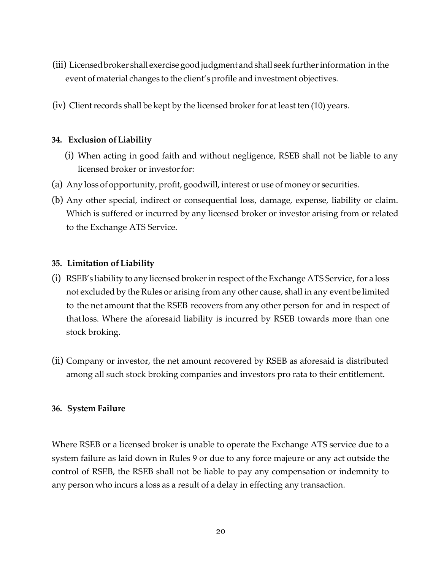- (iii) Licensedbroker shall exercisegoodjudgmentandshall seek furtherinformation in the event of material changes to the client's profile and investment objectives.
- $(iv)$  Client records shall be kept by the licensed broker for at least ten  $(10)$  years.

## <span id="page-22-0"></span>**34. Exclusion ofLiability**

- (i) When acting in good faith and without negligence, RSEB shall not be liable to any licensed broker or investor for:
- (a) Any loss of opportunity, profit, goodwill, interest or use of money or securities.
- (b) Any other special, indirect or consequential loss, damage, expense, liability or claim. Which is suffered or incurred by any licensed broker or investor arising from or related to the Exchange ATS Service.

#### <span id="page-22-1"></span>**35. Limitation of Liability**

- (i) RSEB's liability to any licensed brokerin respect ofthe Exchange ATS Service, for a loss not excluded by the Rules or arising from any other cause, shall in any event be limited to the net amount that the RSEB recovers from any other person for and in respect of thatloss. Where the aforesaid liability is incurred by RSEB towards more than one stock broking.
- (ii) Company or investor, the net amount recovered by RSEB as aforesaid is distributed among all such stock broking companies and investors pro rata to their entitlement.

#### <span id="page-22-2"></span>**36. System Failure**

Where RSEB or a licensed broker is unable to operate the Exchange ATS service due to a system failure as laid down in Rules 9 or due to any force majeure or any act outside the control of RSEB, the RSEB shall not be liable to pay any compensation or indemnity to any person who incurs a loss as a result of a delay in effecting any transaction.